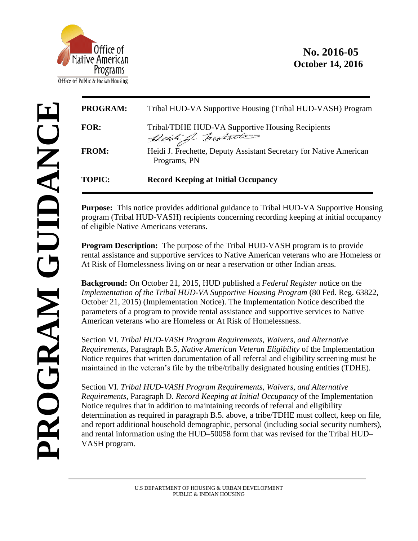

## **No. 2016-05 October 14, 2016**

| <b>PROGRAM:</b> | Tribal HUD-VA Supportive Housing (Tribal HUD-VASH) Program                         |
|-----------------|------------------------------------------------------------------------------------|
| <b>FOR:</b>     | Tribal/TDHE HUD-VA Supportive Housing Recipients<br>Deich of historic              |
| <b>FROM:</b>    | Heidi J. Frechette, Deputy Assistant Secretary for Native American<br>Programs, PN |
| <b>TOPIC:</b>   | <b>Record Keeping at Initial Occupancy</b>                                         |

**Purpose:** This notice provides additional guidance to Tribal HUD-VA Supportive Housing program (Tribal HUD-VASH) recipients concerning recording keeping at initial occupancy of eligible Native Americans veterans.

**Program Description:** The purpose of the Tribal HUD-VASH program is to provide rental assistance and supportive services to Native American veterans who are Homeless or At Risk of Homelessness living on or near a reservation or other Indian areas.

**Background:** On October 21, 2015, HUD published a *Federal Register* notice on the *Implementation of the Tribal HUD-VA Supportive Housing Program (80 Fed. Reg. 63822,* October 21, 2015) (Implementation Notice). The Implementation Notice described the parameters of a program to provide rental assistance and supportive services to Native American veterans who are Homeless or At Risk of Homelessness.

Section VI. *Tribal HUD-VASH Program Requirements, Waivers, and Alternative Requirements,* Paragraph B.5, *Native American Veteran Eligibility* of the Implementation Notice requires that written documentation of all referral and eligibility screening must be maintained in the veteran's file by the tribe/tribally designated housing entities (TDHE).

Section VI. *Tribal HUD-VASH Program Requirements, Waivers, and Alternative Requirements,* Paragraph D. *Record Keeping at Initial Occupancy* of the Implementation Notice requires that in addition to maintaining records of referral and eligibility determination as required in paragraph B.5. above, a tribe/TDHE must collect, keep on file, and report additional household demographic, personal (including social security numbers), and rental information using the HUD–50058 form that was revised for the Tribal HUD– VASH program.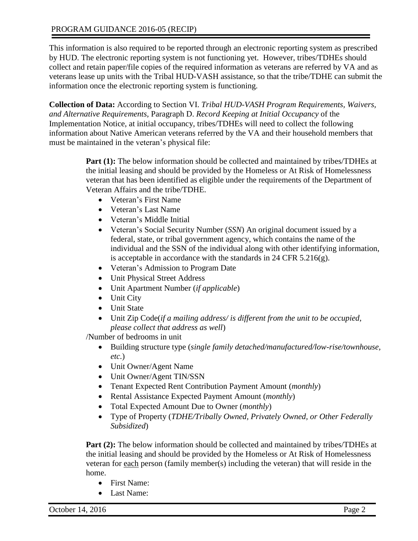This information is also required to be reported through an electronic reporting system as prescribed by HUD. The electronic reporting system is not functioning yet. However, tribes/TDHEs should collect and retain paper/file copies of the required information as veterans are referred by VA and as veterans lease up units with the Tribal HUD-VASH assistance, so that the tribe/TDHE can submit the information once the electronic reporting system is functioning.

**Collection of Data:** According to Section VI. *Tribal HUD-VASH Program Requirements, Waivers, and Alternative Requirements,* Paragraph D. *Record Keeping at Initial Occupancy* of the Implementation Notice, at initial occupancy, tribes/TDHEs will need to collect the following information about Native American veterans referred by the VA and their household members that must be maintained in the veteran's physical file:

> **Part (1):** The below information should be collected and maintained by tribes/TDHEs at the initial leasing and should be provided by the Homeless or At Risk of Homelessness veteran that has been identified as eligible under the requirements of the Department of Veteran Affairs and the tribe/TDHE.

- Veteran's First Name
- Veteran's Last Name
- Veteran's Middle Initial
- Veteran's Social Security Number (*SSN*) An original document issued by a federal, state, or tribal government agency, which contains the name of the individual and the SSN of the individual along with other identifying information, is acceptable in accordance with the standards in 24 CFR 5.216(g).
- Veteran's Admission to Program Date
- Unit Physical Street Address
- Unit Apartment Number (*if applicable*)
- Unit City
- Unit State
- Unit Zip Code(*if a mailing address/ is different from the unit to be occupied, please collect that address as well*)

/Number of bedrooms in unit

- Building structure type (*single family detached/manufactured/low-rise/townhouse, etc.*)
- Unit Owner/Agent Name
- Unit Owner/Agent TIN/SSN
- Tenant Expected Rent Contribution Payment Amount (*monthly*)
- Rental Assistance Expected Payment Amount (*monthly*)
- Total Expected Amount Due to Owner (*monthly*)
- Type of Property (*TDHE/Tribally Owned, Privately Owned, or Other Federally Subsidized*)

**Part (2):** The below information should be collected and maintained by tribes/TDHEs at the initial leasing and should be provided by the Homeless or At Risk of Homelessness veteran for each person (family member(s) including the veteran) that will reside in the home.

- First Name:
- Last Name: